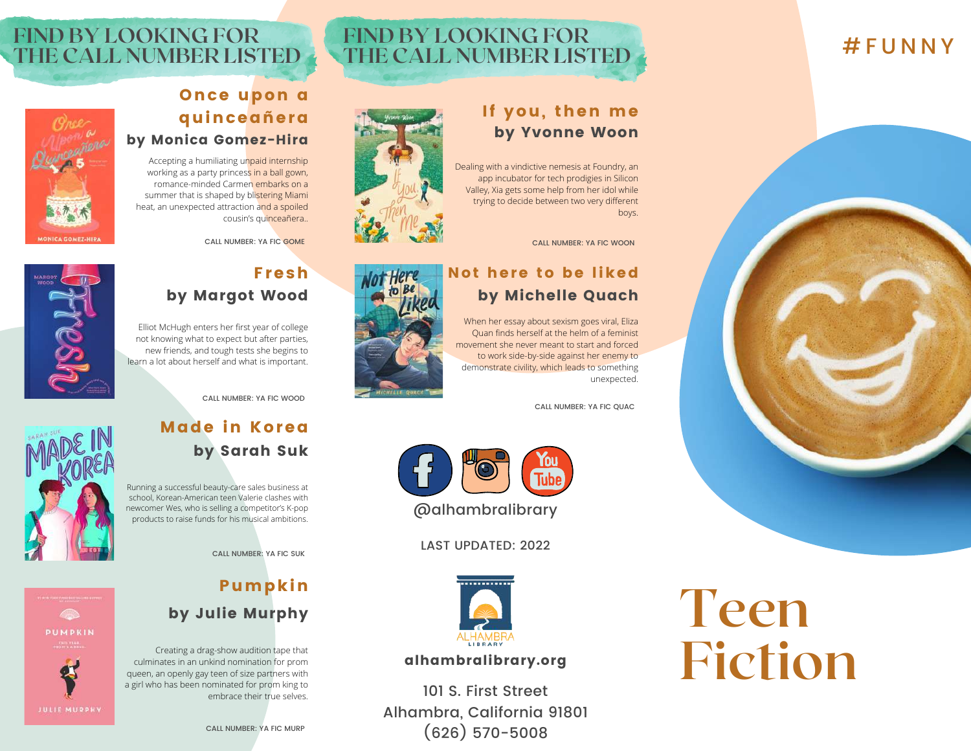# # F U N N Y



**Teen**

**Fiction**

# **FIND BY LOOKING FOR THE CALL NUMBER LISTED**

### If you, then me by Yvonne Woon

Dealing with a vindictive nemesis at Foundry, an app incubator for tech prodigies in Silicon Valley, Xia gets some help from her idol while trying to decide between two very different boys.

CALL NUMBER: YA FIC WOON

#### Not here to be liked by Michelle Quach

When her essay about sexism goes viral, Eliza Quan finds herself at the helm of a feminist movement she never meant to start and forced to work side-by-side against her enemy to demonstrate civility, which leads to something unexpected.

CALL NUMBER: YA FIC QUAC



LAST UPDATED: 2022



#### alhambralibrary.org

101 S. First Street Alhambra, California 91801 (626) 570-5008

# **FIND BY LOOKING FOR THE CALL NUMBER LISTED**



#### Once upon a quinceañera by Monica Gomez-Hira

Accepting a humiliating unpaid internship working as a party princess in a ball gown, romance-minded Carmen embarks on a summer that is shaped by blistering Miami heat, an unexpected attraction and a spoiled cousin's quinceañera..

CALL NUMBER: YA FIC GOME

#### Fresh by Margot Wood

Elliot McHugh enters her first year of college not knowing what to expect but after parties, new friends, and tough tests she begins to learn a lot about herself and what is important.

CALL NUMBER: YA FIC WOOD

#### Made in Korea by Sarah Suk

Running a successful beauty-care sales business at school, Korean-American teen Valerie clashes with newcomer Wes, who is selling a competitor's K-pop products to raise funds for his musical ambitions.

CALL NUMBER: YA FIC SUK

# Pumpkin

#### by Julie Murphy

CALL NUMBER: YA FIC MURP

Creating a drag-show audition tape that culminates in an unkind nomination for prom queen, an openly gay teen of size partners with a girl who has been nominated for prom king to embrace their true selves.